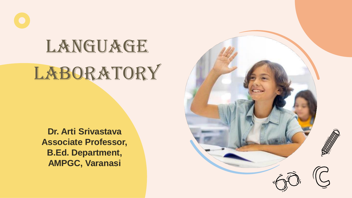# LANGUAGE **LABORATORY**

**Dr. Arti Srivastava Associate Professor, B.Ed. Department, AMPGC, Varanasi**

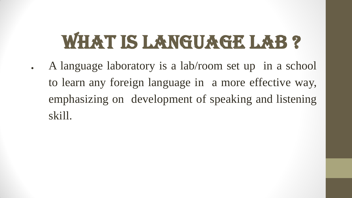# WHAT IS LANGUAGE LAB?

A language laboratory is a lab/room set up in a school to learn any foreign language in a more effective way, emphasizing on development of speaking and listening skill.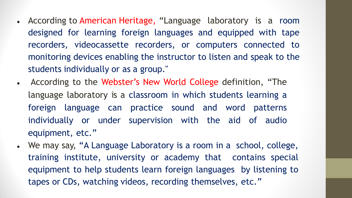- According to American Heritage, "Language laboratory is a room designed for learning foreign languages and equipped with tape recorders, videocassette recorders, or computers connected to monitoring devices enabling the instructor to listen and speak to the students individually or as a group."
- According to the Webster's New World College definition, "The language laboratory is a classroom in which students learning a foreign language can practice sound and word patterns individually or under supervision with the aid of audio equipment, etc."
- We may say, "A Language Laboratory is a room in a school, college, training institute, university or academy that contains special equipment to help students learn foreign languages by listening to tapes or CDs, watching videos, recording themselves, etc."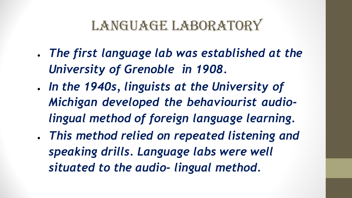## LANGUAGE LABORATORY

- *The first language lab was established at the University of Grenoble in 1908.*
- *In the 1940s, linguists at the University of Michigan developed the behaviourist audiolingual method of foreign language learning.*
- *This method relied on repeated listening and speaking drills. Language labs were well situated to the audio- lingual method.*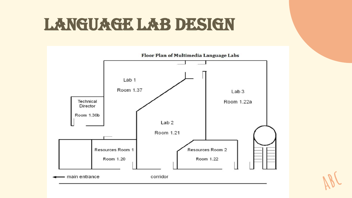# LANGUAGE LAB DESIGN

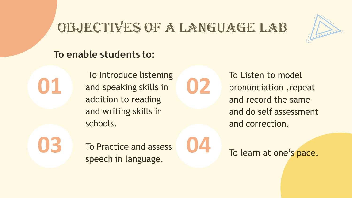### OBJECTIVES OF A LANGUAGE LAB



#### **To enable students to:**

To Introduce listening and speaking skills in addition to reading and writing skills in schools.

**02**

To Listen to model pronunciation ,repeat and record the same and do self assessment and correction.

**01**

**03 b b b b c 04** To Practice and assess speech in language.

To learn at one's pace.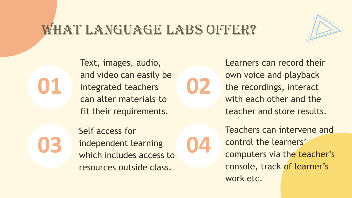#### WHAT LANGUAGE LABS OFFER?

**02**

Text, images, audio, and video can easily be integrated teachers can alter materials to fit their requirements.

**01**

**03** independent learning 04 Self access for independent learning resources outside class.

Learners can record their own voice and playback the recordings, interact with each other and the teacher and store results.

Teachers can intervene and control the learners' computers via the teacher's console, track of learner's work etc.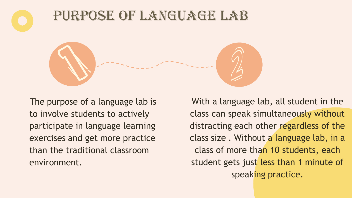



The purpose of a language lab is to involve students to actively participate in language learning exercises and get more practice than the traditional classroom environment.

With a language lab, all student in the class can speak simultaneously without distracting each other regardless of the class size . Without a language lab, in a class of more than 10 students, each student gets just less than 1 minute of speaking practice.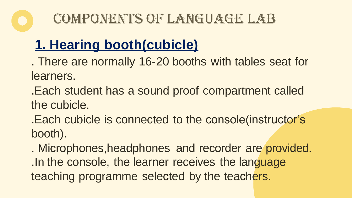# COMPONENTS OF LANGUAGE LAB

# **1. Hearing booth(cubicle)**

. There are normally 16-20 booths with tables seat for learners.

.Each student has a sound proof compartment called the cubicle.

.Each cubicle is connected to the console(instructor's booth).

. Microphones,headphones and recorder are provided. .In the console, the learner receives the language teaching programme selected by the teachers.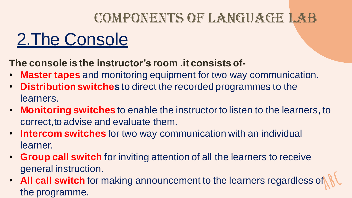## COMPONENTS OF LANGUAGE LAB

# 2.The Console

**The console is the instructor's room .it consists of-**

- **Master tapes** and monitoring equipment for two way communication.
- **Distribution switches** to direct the recorded programmes to the learners.
- **Monitoring switches** to enable the instructor to listen to the learners, to correct,to advise and evaluate them.
- **Intercom switches** for two way communication with an individual learner.
- **Group call switch f**or inviting attention of all the learners to receive general instruction.
- **All call switch** for making announcement to the learners regardless of the programme.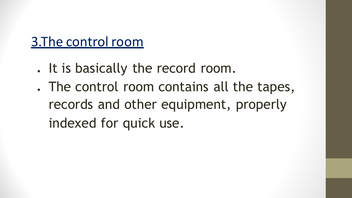### 3.The control room

- . It is basically the record room.
- . The control room contains all the tapes, records and other equipment, properly indexed for quick use.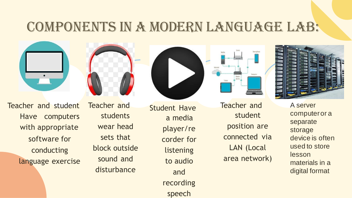### Components in a modern language lab:









Teacher and student Have computers with appropriate software for conducting language exercise Teacher and students wear head sets that block outside sound and disturbance

Student Have a media player/re corder for listening to audio and recording speech

Teacher and student position are connected via LAN (Local area network)



A server computeror a separate storage device is often used to store lesson materials in a digital format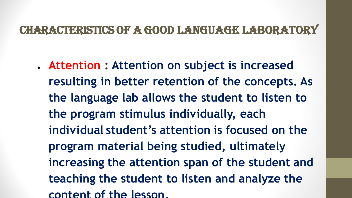#### Characteristics of a good language laboratory

● **Attention : Attention on subject is increased resulting in better retention of the concepts. As the language lab allows the student to listen to the program stimulus individually, each individual student's attention is focused on the program material being studied, ultimately increasing the attention span of the student and teaching the student to listen and analyze the content of the lesson.**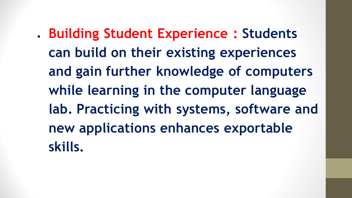● **Building Student Experience : Students can build on their existing experiences and gain further knowledge of computers while learning in the computer language lab. Practicing with systems, software and new applications enhances exportable skills.**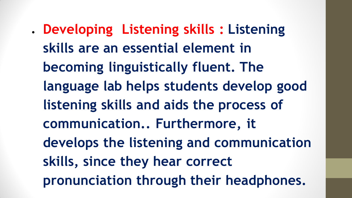● **Developing Listening skills : Listening skills are an essential element in becoming linguistically fluent. The language lab helps students develop good listening skills and aids the process of communication.. Furthermore, it develops the listening and communication skills, since they hear correct pronunciation through their headphones.**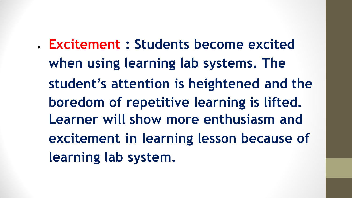● **Excitement : Students become excited when using learning lab systems. The student's attention is heightened and the boredom of repetitive learning is lifted. Learner will show more enthusiasm and excitement in learning lesson because of learning lab system.**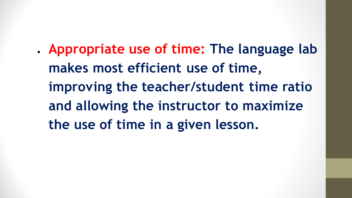● **Appropriate use of time: The language lab makes most efficient use of time, improving the teacher/student time ratio and allowing the instructor to maximize the use of time in a given lesson.**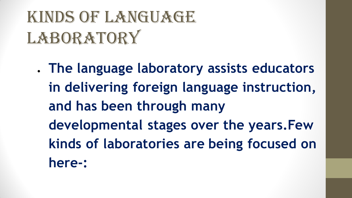# KINDS OF LANGUAGE LABORATORY

● **The language laboratory assists educators in delivering foreign language instruction, and has been through many developmental stages over the years.Few kinds of laboratories are being focused on here-:**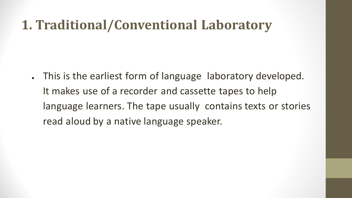#### **1. Traditional/Conventional Laboratory**

This is the earliest form of language laboratory developed. It makes use of a recorder and cassette tapes to help language learners. The tape usually contains texts or stories read aloud by a native language speaker.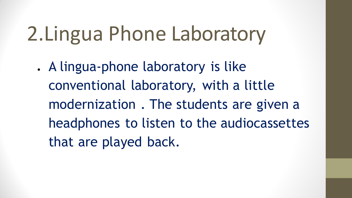# 2.Lingua Phone Laboratory

. A lingua-phone laboratory is like conventional laboratory, with a little modernization . The students are given a headphones to listen to the audiocassettes that are played back.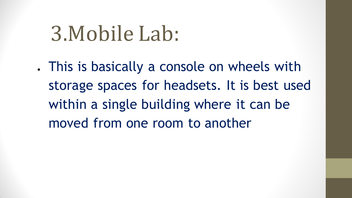# 3.Mobile Lab:

. This is basically a console on wheels with storage spaces for headsets. It is best used within a single building where it can be moved from one room to another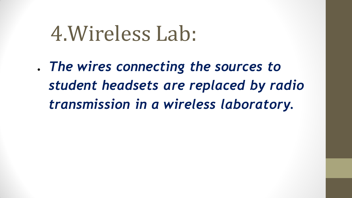# 4.Wireless Lab:

● *The wires connecting the sources to student headsets are replaced by radio transmission in a wireless laboratory.*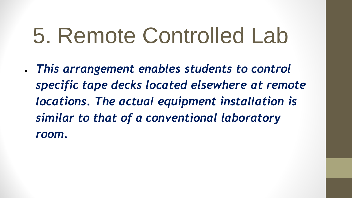# 5. Remote Controlled Lab

● *This arrangement enables students to control specific tape decks located elsewhere at remote locations. The actual equipment installation is similar to that of a conventional laboratory room.*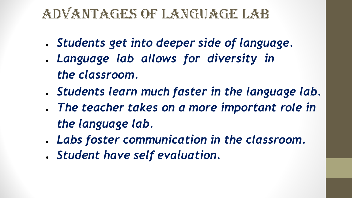### Advantages of language lab

- *Students get into deeper side of language.*
- *Language lab allows for diversity in the classroom.*
- *Students learn much faster in the language lab.*
- *The teacher takes on a more important role in the language lab.*
- *Labs foster communication in the classroom.*
- *Student have self evaluation.*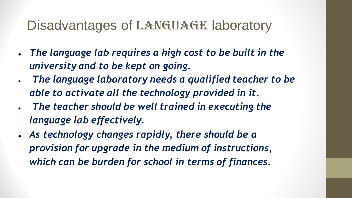#### Disadvantages of LANGUAGE laboratory

- *The language lab requires a high cost to be built in the university and to be kept on going.*
- *The language laboratory needs a qualified teacher to be able to activate all the technology provided in it.*
- *The teacher should be well trained in executing the language lab effectively.*
- *As technology changes rapidly, there should be a provision for upgrade in the medium of instructions, which can be burden for school in terms of finances.*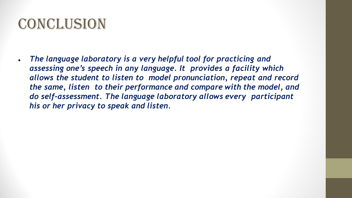## Conclusion

● *The language laboratory is a very helpful tool for practicing and assessing one's speech in any language. It provides a facility which allows the student to listen to model pronunciation, repeat and record the same, listen to their performance and compare with the model, and do self-assessment. The language laboratory allows every participant his or her privacy to speak and listen.*